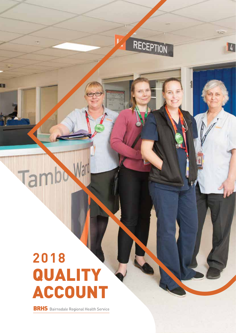# RECEPTION L la Tamb **2018 QUALITY** ACCOUNT

**BRHS** Bairnsdale Regional Health Service

G.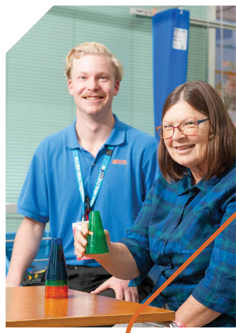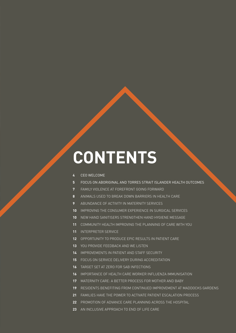# **CONTENTS**

- CEO WELCOME
- FOCUS ON ABORIGINAL AND TORRES STRAIT ISLANDER HEALTH OUTCOMES
- FAMILY VIOLENCE AT FOREFRONT GOING FORWARD
- ANIMALS USED TO BREAK DOWN BARRIERS IN HEALTH CARE
- ABUNDANCE OF ACTIVITY IN MATERNITY SERVICES
- IMPROVING THE CONSUMER EXPERIENCE IN SURGICAL SERVICES
- NEW HAND SANITISERS STRENGTHEN HAND HYGIENE MESSAGE
- COMMUNITY HEALTH IMPROVING THE PLANNING OF CARE WITH YOU
- INTERPRETER SERVICE
- OPPORTUNITY TO PRODUCE EPIC RESULTS IN PATIENT CARE
- YOU PROVIDE FEEDBACK AND WE LISTEN
- IMPROVEMENTS IN PATIENT AND STAFF SECURITY
- FOCUS ON SERVICE DELIVERY DURING ACCREDITATION
- TARGET SET AT ZERO FOR SAB INFECTIONS
- IMPORTANCE OF HEALTH CARE WORKER INFLUENZA IMMUNISATION
- MATERNITY CARE: A BETTER PROCESS FOR MOTHER AND BABY
- RESIDENTS BENEFITING FROM CONTINUED IMPROVEMENT AT MADDOCKS GARDENS
- FAMILIES HAVE THE POWER TO ACTIVATE PATIENT ESCALATION PROCESS
- PROMOTION OF ADVANCE CARE PLANNING ACROSS THE HOSPITAL
- AN INCLUSIVE APPROACH TO END OF LIFE CARE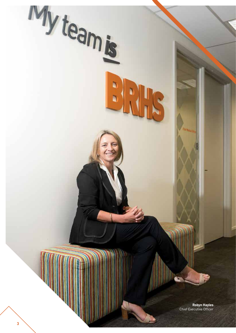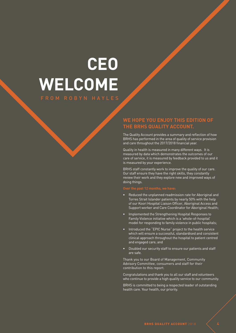## **CEO WELCOME** FROM ROBYN HAYLES

## **WE HOPE YOU ENJOY THIS EDITION OF THE BRHS QUALITY ACCOUNT.**

The Quality Account provides a summary and reflection of how BRHS has performed in the area of quality of service provision and care throughout the 2017/2018 financial year.

Quality in health is measured in many different ways. It is measured by data which demonstrates the outcomes of our care of service, it is measured by feedback provided to us and it is measured by your experience.

BRHS staff constantly work to improve the quality of our care. Our staff ensure they have the right skills, they constantly review their work and they explore new and improved ways of doing things.

- **•** Reduced the unplanned readmission rate for Aboriginal and Torres Strait Islander patients by nearly 50% with the help of our Koori Hospital Liaison Officer, Aboriginal Access and Support worker and Care Coordinator for Aboriginal Health;
- **•** Implemented the Strengthening Hospital Responses to Family Violence initiative which is a 'whole-of-hospital' model for responding to family violence in public hospitals;
- **•** Introduced the "EPIC Nurse" project to the health service which will ensure a successful, standardised and consistent clinical approach throughout the hospital to patient centred and engaged care; and
- **•** Doubled our security staff to ensure our patients and staff are safe.

Thank you to our Board of Management, Community Advisory Committee, consumers and staff for their contribution to this report.

Congratulations and thank you to all our staff and volunteers who continue to provide a high quality service to our community.

BRHS is committed to being a respected leader of outstanding health care. Your health, our priority.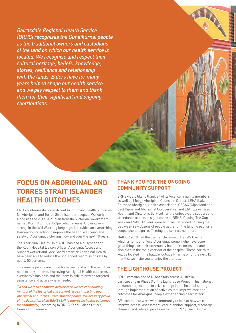*Bairnsdale Regional Health Service (BRHS) recognises the Gunaikurnai people as the traditional owners and custodians of the land on which our health service is located. We recognise and respect their cultural heritage, beliefs, knowledge, stories, resilience and relationship with the lands. Elders have for many years helped shape our health service and we pay respect to them and thank them for their significant and ongoing contributions.*

## **FOCUS ON ABORIGINAL AND TORRES STRAIT ISLANDER HEALTH OUTCOMES**

BRHS continues its commitment to improving health outcomes for Aboriginal and Torres Strait Islander peoples. We work alongside the 2017-2027 plan from the Victorian Government named Korin Korin Balit-Djak which means 'Growing very strong' in the Woi Wurrung language. It provides an overarching framework for action to improve the health, wellbeing and safety of Aboriginal Victorians now and over the next 10 years.

The Aboriginal Health Unit (AHU) has had a busy year and the Koori Hospital Liaison Officer, Aboriginal Access and Support worker and Care Coordinator for Aboriginal Health have been able to reduce the unplanned readmission rate by nearly 50 per cent.

This means people are going home well and with the help they need to stay at home. Improving Aboriginal Health outcomes is everybody's business and the team is able to provide targeted assistance and advice where needed.

*"When we look at how we deliver care we are continuously mindful of the historical and current issues impacting upon Aboriginal and Torres Strait Islander people. We are very proud of the dedication of all BRHS staff to improving health outcomes for community,"* according to BRHS Koori Liaison Officer, Bonnie O'Shannassy.

## **THANK YOU FOR THE ONGOING COMMUNITY SUPPORT**

BRHS would like to thank all of its local community members as well as Moogji Aboriginal Council in Orbost, LEHA (Lakes Entrance Aboriginal Health Association),GEGAC (Gippsland and East Gippsland Aboriginal Co-operative) and LTAT (Lake Tyres Health and Children's Service) for the unbelievable support and attendance at days of significance at BRHS. Closing The Gap week and NAIDOC week were both well attended. Closing the Gap week saw dozens of people gather on the landing pad for a people power sign reaffirming the commitment here.

NAIDOC 2018 had the theme "Because of Her We Can" in which a number of local Aboriginal women who have done great things for their community had their stories told and displayed in the main corridor of the hospital. These portraits will be located in the hallway outside Pharmacy for the next 12 months, we invite you to enjoy the stories..

#### **THE LIGHTHOUSE PROJECT**

BRHS remains one of 18 hospitals across Australia participating in Phase 3 of the Lighthouse Project. This national research project aims to drive change in the hospital setting through implementation of activities that improve care and outcomes for Aboriginal people experiencing heart attack.

"We continue to work with community to look at how we can improve access, assessment, care planning, support, discharge planning and referral processes within BRHS," said Bonnie.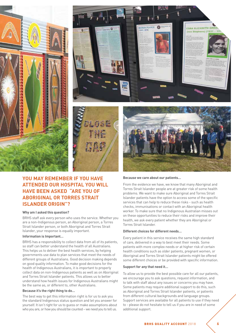





## **YOU MAY REMEMBER IF YOU HAVE ATTENDED OUR HOSPITAL YOU WILL HAVE BEEN ASKED "ARE YOU OF ABORIGINAL OR TORRES STRAIT ISLANDER ORIGIN"?**

#### **Why am I asked this question?**

BRHS staff ask every person who uses the service. Whether you are a non-Indigenous person, an Aboriginal person, a Torres Strait Islander person, or both Aboriginal and Torres Strait Islander, your response is equally important.

#### **Information is Important…**

BRHS has a responsibility to collect data from all of its patients, so staff can better understand the health of all Australians. This helps us to deliver the best health services, by helping governments use data to plan services that meet the needs of different groups of Australians. Good decision making depends on good quality information. To make good decisions for the health of Indigenous Australians, it is important to properly collect data on non-Indigenous patients as well as on Aboriginal and Torres Strait Islander patients. This allows us to better understand how health issues for Indigenous Australians might be the same as, or different to, other Australians.

#### **Because it's the right thing to do…**

The best way to get this information right is for us to ask you the standard Indigenous status question and let you answer for yourself. It isn't right for us to guess or make assumptions about who you are, or how you should be counted – we need you to tell us.

#### **Because we care about our patients…**

From the evidence we have, we know that many Aboriginal and Torres Strait Islander people are at greater risk of some health problems. We want to make sure Aboriginal and Torres Strait Islander patients have the option to access some of the specific services that can help to reduce these risks - such as health checks, immunisations or contact with an Aboriginal health worker. To make sure that no Indigenous Australian misses out on these opportunities to reduce their risks and improve their health, we ask every patient whether they are Aboriginal or Torres Strait Islander.

#### **Different choices for different needs…**

Every patient in this service receives the same high standard of care, delivered in a way to best meet their needs. Some patients with more complex needs or at higher risk of certain health conditions such as older patients, pregnant women, or Aboriginal and Torres Strait Islander patients might be offered some different choices or be provided with specific information.

#### **Support for any that need it…**

To allow us to provide the best possible care for all our patients, we encourage you to ask questions, request information, and to talk with staff about any issues or concerns you may have. Some patients may require additional support to do this, such as Aboriginal and Torres Strait Islander patients, or patients from different cultural backgrounds and language groups. Support services are available for all patients to use if they need to - please do not hesitate to tell us if you are in need of some additional support.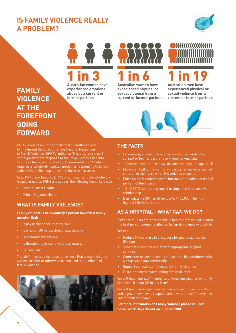## **IS FAMILY VIOLENCE REALLY A PROBLEM?**



## **FAMILY VIOLENCE AT THE FOREFRONT GOING FORWARD**

1 in 3 **Australian women have experienced emotional abuse by a current or former partner.**

1 in 6 **Australian women have experienced physical or sexual violence from a current or former partner.**



1 in 19

**Australian men have experienced physical or sexual violence from a current or former partner.**



BRHS is one of a number of Victorian health services to implement the Strengthening Hospital Responses to Family Violence (SHRFV) initiative. This program is part of the government response to the Royal Commission into Family Violence, and relates to Recommendation 95 which requires a 'whole-of-hospital' model for responding to family violence in public hospitals within three to five years.

In 2017-18 and beyond, BRHS will implement the whole-ofhospital model at BRHS and support the following health services:

- **•** Omeo District Health
- **•** Orbost Regional Health

## **WHAT IS FAMILY VIOLENCE?**

**Family violence is behaviour by a person towards a family member that:**

- **•** Is physically or sexually abusive
- **•** Is emotionally or psychologically abusive
- **•** Is economically abusive
- **•** Is threatening or coercive or dominating
- **•** Causes fear

This definition also includes behaviours that cause a child to witness or hear or otherwise be exposed to the effects of family violence.



## **THE FACTS**

- **•** On average, at least one woman dies at the hands of a current or former partner every week in Australia
- **•** 1:3 women experience physical violence, since the age of 15
- **•** More than half of the women who experienced violence had children in their care when the violence occurred
- **•** Elder abuse is underreported but thought to affect at least 5 percent of the elderly
- **•** 1:3 LGBTIQ Australians report having been in an abusive relationship
- **•** Bairnsdale 2.304 family incidents / 100,000. The fifth highest LGA in Australia

## **AS A HOSPITAL - WHAT CAN WE DO?**

Evidence tells us for many people, a health professional is often the first person someone affected by family violence will talk to.

#### **We can:**

- **•** Reduce the barriers to disclosure for people across the lifespan
- **•** Sensitively respond and refer to appropriate support services
- **•** Contribute to societal change we are a big workforce with a deep reach into community
- **•** Support our own staff affected by family violence
- **•** Dispel the myths surrounding family violence

We will teach our staff in general to know our position on family violence – it is not OK in any form!

We will teach and expect our clinicians to recognise the risks and signs, know how to respond sensitively and confidently use our referral pathways.

**For more information on Family Violence please call our Social Work Department on 03 5150 3388**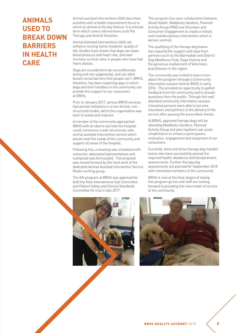## **ANIMALS USED TO BREAK DOWN BARRIERS IN HEALTH CARE**

Animal assisted interventions (AAI) describes activities with a health improvement focus in which an animal is the key feature. It is a broad term which covers interventions such Pet Therapy and Animal Visitation.

Animal Assisted Interventions (AAI) can enhance nursing home residents' quality of life. Studies have shown that dogs can lower blood pressure and heart rate, and even increase survival rates in people who have had heart attacks.

Dogs are considered to be unconditionally loving and non-judgmental, and can often broach social barriers that people can't. BRHS, therefore, has been exploring ways in which dogs and their handlers in the community can provide this support to our consumers at BRHS.

Prior to January 2017, various BRHS services had animal visitations in a non-formal, nonstructured model, which the organisation was keen to evolve and improve.

A member of the community approached BRHS with an idea to see how the hospital could commence a well-structured, safe, animal assisted intervention service which would meet the needs of the community and support all areas of the hospital.

Following this, a meeting was scheduled with consumer advocates/representatives and a proposal was formulated. This proposal was moved forward by the hard work of the dedicated Animal Assisted Intervention Service Model working group.

The AAI program at BRHS was approved by both the New Interventions Sub Committee and Patient Safety and Clinical Standards Committee for trial in late 2017.

This program has seen collaboration between Allied Health, Maddocks Gardens, Planned Activity Group (PAG) and Volunteer and Consumer Engagement to create a holistic and multidisciplinary intervention which is person centred.

The qualifying of the therapy dog teams has required the support and input from partners such as the Bairnsdale and District Dog Obedience Club, Dogs Victoria and the generous involvement of Veterinary practitioners in the region.

The community was invited to learn more about this program through a Community Information session held at BRHS in early 2018. This provided an opportunity to gather feedback from the community and to answer questions from the public. Through this well attended community information session, interested persons were able to become volunteers and partners in the delivery of the service after passing the prescribed checks.

At BRHS, approved therapy dogs will be attending Maddocks Gardens, Planned Activity Group and also inpatient sub-acute rehabilitation to enhance participation, motivation, engagement and enjoyment of our consumers.

Currently, there are three therapy dog-handler teams who have successfully passed the required health, obedience and temperament assessments. Further therapy dog assessments are planned for September 2018 with interested members of the community.

BRHS is now at the final stages of having this program go live and staff are looking forward to providing this new model of service to the community.



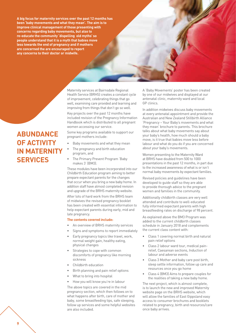**A big focus for maternity services over the past 12 months has been 'baby movements and what they mean'. The aim is to improve clinical management of those presenting with concerns regarding baby movements, but also to re-educate the community 'dispelling old myths' so people understand that it is a myth that babies move less towards the end of pregnancy and if mothers are concerned the are encouraged to report any concerns to their doctor or midwife.** 

## **ABUNDANCE OF ACTIVITY IN MATERNITY SERVICES**

Maternity services at Bairnsdale Regional Health Service (BRHS) creates a constant cycle of improvement, celebrating things that go well, examining care provided and learning and improving from things that don't go so well.

Key projects over the past 12 months have included revision of the Pregnancy Information Handbook which is distributed to all pregnant women accessing our service.

Some key programs available to support our pregnant mothers include:

- **•** Baby movements and what they mean
- **•** The pregnancy and birth education program, and
- **•** The Primary Prevent Program 'Baby makes 3' (BM3).

These modules have been incorporated into our Childbirth Education program aiming to better prepare expectant parents for the changes that occur when you bring a new baby home. In addition staff have almost completed revision and upgrade of the BRHS maternity website.

After lots of hard work from the BRHS team of midwives the revised pregnancy booklet has been created with essential information to help expectant parents during early, mid and late pregnancy.

#### **The contents covered include:**

- **•** An overview of BRHS maternity services
- **•** Signs and symptoms to report immediately
- **•** Early pregnancy topics like travel, work, normal weight gain, healthy eating, physical changes
- **•** Strategies to cope with common discomforts of pregnancy like morning sickness
- **•** Childbirth education
- **•** Birth planning and pain relief options
- **•** What to bring into hospital
- **•** How you will know you're in labour

The above topics are covered in the mid pregnancy section, which then follows on to what happens after birth, care of mother and baby, some breastfeeding tips, safe sleeping, follow up services and some helpful websites are also included.

A 'Baby Movements' poster has been created by one of our midwives and displayed at our antenatal clinic, maternity ward and local GP clinics.

In addition midwives discuss baby movements at every antenatal appointment and provide the Australian and New Zealand Stillbirth Alliance 'Pregnancy – Your Baby's movements and what they mean' brochure to parents. This brochure talks about what baby movements say about your baby's health, how much should a baby move, is it true that babies move less before labour and what do you do if you are concerned about your baby's movements.

Women presenting to the Maternity Ward at BRHS have doubled from 500 to 1000 presentations in the past 12 months, in part due to the increased awareness of what is or isn't normal baby movements by expectant families.

Revised policies and guidelines have been developed to guide staff so they are able to provide thorough advice to the pregnant women and families in the community.

Additionally childbirth classes are very well attended and contribute to well-educated fully informed expectant parents with high breastfeeding rates on discharge of 98 percent.

As explained above the BM3 Program was added to the current childbirth classes schedule in January 2018 and complements the current class content with:

- **•** Class 1 covering normal birth and natural pain relief options
- **•** Class 2 labour ward tour, medical painrelief, Caesarean sections, Induction of labour and adverse events
- **•** Class 3 Mother and baby care post birth, sleep settle information, follow up care and resources once you go home
- **•** Class 4 (BM3) Aims to prepare couples for the realities of taking a new baby home.

The next project, which is almost complete, is to launch the new and improved Maternity website page on the BRHS website, which will allow the families of East Gippsland easy access to consumer brochures and booklets related to pregnancy, birth and resources/care once baby arrives.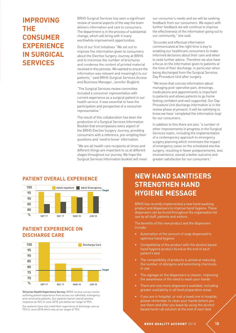## **IMPROVING THE CONSUMER EXPERIENCE IN SURGICAL SERVICES**

BRHS Surgical Services has seen a significant review of several aspects of the way the team delivers information and care to consumers. The department is in the process of substantial change, which will bring with it many worthwhile improvement opportunities.

One of our first initiatives "We set out to improve the information given to consumers about the Elective Surgery Journey at BRHS and to minimise the number of brochures and condense the content of printed material received in this process. We wanted to ensure the information was relevant and meaningful to our patients," said BRHS Surgical Services Access and Business Manager, Jennifer Bugbird.

"The Surgical Services review committee included a consumer representative with current experience as a surgical patient in our health service. It was essential to have the participation and perspective of a consumer representative."

The result of this collaboration has been the production of a Surgical Services Information Booklet that encompasses every aspect of the BRHS Elective Surgery Journey, providing consumers with a reference, pre-empting their questions and 'need to know' information.

"We are all health care recipients at times and different things are important to us at different stages throughout our journey. We hope the Surgical Services Information booklet will meet our consumer's needs and we will be seeking feedback from our consumers. We expect with further feedback we will continue to improve the effectiveness of the information going out to our community," she said.

"Accurate and effectual information communicated at the right time is key to enabling our healthcare consumers to make informed decisions about their care and when to seek further advice. Therefore we also have a focus on the information given to patients at the time of their discharge, in particular when being discharged from the Surgical Services Day Procedure Unit after surgery.

"We know that concise information about managing post-operative pain, dressings, medications and appointments is important to patients and allows patients to go home feeling confident and well supported. Our Day Procedure Unit discharge information is in the review phase at present. It will be satisfying to know we have 'completed the information loop' for our consumers.

In addition to this there are also "a number of other improvements in progress in the Surgical Services realm, including the implementation of a contemporary approach to emergency surgery planning which minimises the impact of emergency cases on the scheduled elective surgery, resulting in fewer postponements, less inconvenience, overall a better outcome and greater satisfaction for our consumers."

## **PATIENT OVERALL EXPERIENCE**



## **PATIENT EXPERIENCE ON DISCHARGE CARE**



**Victorian Health Experience Survey:** BRHS recieve survey results outlining patient experience from across our admitted, emergency and community patients. Our patients had an overall positive response as 94% in June 2018, just below our target of 95%.

Our patients have also rated their experience of discharge care as 75% in June 2018 which was at our target of 75%.

## **NEW HAND SANITISERS STRENGTHEN HAND HYGIENE MESSAGE**

BRHS has recently implemented a new hand washing product and dispensers to improve hand hygiene. These dispensers can be found throughout the organisation for use by all staff, patients and visitors.

The benefits of this new product and the dispensers include:

- **•** Automation of the amount of soap dispensed to optimise hand hygiene
- **•** Compatibility of the product with the alcohol based hand hygiene product found at the end of each patient's bed
- **•** The compatibility of products is aimed at reducing the number of allergens and sensitising chemicals in use
- **•** The signage on the dispensers is clearer, improving the awareness of the need to wash your hands
- **•** There are now more dispensers available, including greater availability in all food preparation areas
- **•** If you are in hospital, or visit a loved one in hospital, please remember to clean your hands before you see them and after you leave by using the alcohol based hand rub solution at the end of each bed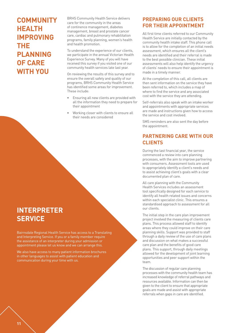## **COMMUNITY HEALTH IMPROVING THE PLANNING OF CARE WITH YOU**

BRHS Community Health Service delivers care for the community in the areas of continence management, diabetes management, breast and prostate cancer care, cardiac and pulmonary rehabilitation programs, family planning, women's health and health promotion.

To understand the experience of our clients, we participate in the annual Victorian Health Experience Survey. Many of you will have received this survey if you visited one of our community health services late last year.

On reviewing the results of this survey and to ensure the overall safety and quality of our programs, BRHS Community Health Service has identified some areas for improvement. These include:

- **•** Ensuring all new clients are provided with all the information they need to prepare for their appointment
- **•** Working closer with clients to ensure all their needs are considered

## **INTERPRETER SERVICE**

Bairnsdale Regional Health Service has access to a Translating and Interpreting Service. If you or a family member require the assistance of an interpreter during your admission or appointment please let us know and we can arrange this.

We also have access to many patient information brochures in other languages to assist with patient education and communication during your time with us.

## **PREPARING OUR CLIENTS FOR THEIR APPOINTMENT**

All first time clients referred to our Community Health Service are initially contacted by the community health intake staff. This phone call is to allow for the completion of an initial needs assessment, which ensures all the client's needs are identified and their referral is made to the best possible clinician. These initial assessments will also help identify the urgency of clients' needs to ensure their appointment is made in a timely manner.

At the completion of this call, all clients are then sent information on the service they have been referred to, which includes a map of where to find the service and any associated cost with the service they are attending.

Self-referrals also speak with an intake worker and appointments with appropriate services are made and instructions given how to access the service and cost involved.

SMS reminders are also sent the day before the appointment.

## **PARTNERING CARE WITH OUR CLIENTS**

During the last financial year, the service commenced a review into care planning processes, with the aim to improve partnering with consumers. Assessment tools are used to appropriately identify a client's needs and to assist achieving client's goals with a clear documented plan of care.

All care planning with the Community Health Services includes an assessment tool specifically designed for each service to identify all health related issues and concerns within each specialist clinic. This ensures a standardised approach to assessment for all our clients.

The initial step in the care plan improvement project involved the measuring of clients care plans. This process allowed staff to identify areas where they could improve on their care planning skills. Support was provided to staff through a daily review of the use of care plans and discussion on what makes a successful care plan and the benefits of good care plans. This support, through daily meetings allowed for the development of joint learning opportunities and peer support within the team.

The discussion of regular care planning processes with the community health team has increased knowledge of referral pathways and resources available. Information can then be given to the client to ensure that appropriate goals are made and assist with appropriate referrals when gaps in care are identified.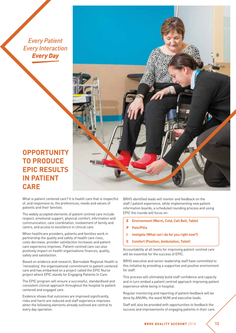*Every Patient Every Interaction Every Day* 

**OPPORTUNITY TO PRODUCE EPIC RESULTS IN PATIENT CARE**

What is patient centered care? It is health care that is respectful of, and responsive to, the preferences, needs and values of patients and their families.

The widely accepted elements of patient centred care include respect, emotional support, physical comfort, information and communication, care coordination, involvement of family and carers, and access to excellence in clinical care.

When healthcare providers, patients and families work in partnership the quality and safety of health care rises, costs decrease, provider satisfaction increases and patient care experience improves. Patient-centred care can also positively impact on health organisations finances, quality, safety and satisfaction.

Based on evidence and research, Bairnsdale Regional Health is 'renovating' the organisational commitment to patient centered care and has embarked on a project called the EPIC Nurse project where EPIC stands for Engaging Patients In Care.

The EPIC program will ensure a successful, standardised and consistent clinical approach throughout the hospital to patient centered and engaged care.

Evidence shows that outcomes are improved significantly, risks and harm are reduced and staff experience improves when the following elements already outlined are central to every day operation.

BRHS identified leads will mentor and feedback on the staff / patient experience, while implementing new patient information boards, a scheduled rounding process and using EPIC the rounds will focus on:

- E **Environment (Warm, Cold, Call Bell, Table)**
- P **Pain/Pills**
- I **Instigate (What can I do for you right now?)**
- C **Comfort (Position, Ambulation, Toilet)**

Accountability at all levels for improving patient-centred care will be essential for the success of EPIC.

BRHS executive and senior leadership staff have committed to this initiative by providing a supportive and positive environment for staff.

This process will ultimately build staff confidence and capacity and in turn embed a patient centred approach improving patient experience while being in hospital.

Regular monitoring and reporting of patient feedback will be done by ANUMs, the ward NUM and executive leads.

Staff will also be provided with opportunities to feedback the success and improvements of engaging patients in their care.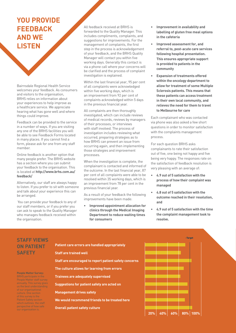## **YOU PROVIDE FEEDBACK AND WE LISTEN**

Bairnsdale Regional Health Service welcomes your feedback. As consumers and visitors to the organisation, BRHS relies on information about your experiences to help improve as a healthcare service. We appreciate hearing what has gone well and where things could improve.

Feedback can be provided to the service in a number of ways. If you are visiting any one of the BRHS facilities you will be able to see Feedback Forms located in many places. If you cannot find a form, please ask for one from any staff member.

Online feedback is another option that many people prefer. The BRHS website has a section where you can submit your feedback to the organisation. This is located at **http://www.brhs.com.au/ feedback/**

Alternatively, our staff are always happy to listen. If you prefer to sit with someone and talk about your experience this can be arranged.

 You can provide your feedback to any of our staff members, or if you prefer you can ask to speak to the Quality Manager who manages feedback received within the organisation.

All feedback received at BRHS is forwarded to the Quality Manager. This includes compliments, complaints, and suggestions for improvements. For the management of complaints, the first step in the process is acknowledgement of your feedback, and the BRHS Quality Manager will contact you within five working days. Generally this contact is via a phone call where your concerns will be clarified and the process of complaint investigation is explained.

Within the last financial year, 95 per cent of all complaints were acknowledged within five working days, which is an improvement from 92 per cent of complaints acknowledged within 5 days in the previous financial year.

All complaints are then thoroughly investigated, which can include reviews of medical records, reviews by managers of their processes, or interviews with staff involved. The process of investigation includes reviewing what occurred, preparing strategies as to how BRHS can prevent an issue from occurring again, and then implementing those strategies and improvement processes.

When the investigation is complete, the complainant is contacted and informed of the outcome. In the last financial year, 87 per cent of all complaints were able to be resolved within 35 working days, which is an improvement from 78 per cent in the previous financial year.

As a result of your feedback the following improvements have been made:

**• Improved appointment allocation for clinics through the Medical Imaging Department to reduce waiting times for consumers**

- **• Improvement in availability and labelling of gluten free meal options in the cafeteria**
- **• Improved assessment for, and referral to, post-acute care services following hospital presentation. This ensures appropriate support is provided to patients in the community**
- **• Expansion of treatments offered within the oncology department to allow for treatment of some Multiple Sclerosis patients. This means that these patients can access treatment in their own local community, and relieves the need for them to travel to Melbourne for care**

Each complainant who was contacted via phone was also asked a few short questions in order to monitor satisfaction with the complaints management process.

For each question BRHS asks complainants to rate their satisfaction out of five, one being not happy and five being very happy. The responses rate on the satisfaction of feedback resolution is very pleasing with an average of:

- **• 4.9 out of 5 satisfaction with the process of how their complaint was managed**
- **• 4.8 out of 5 satisfaction with the outcome reached in their resolution, and**
- **• 4.9 out of 5 satisfaction with the time the complaint management took to resolve.**

## **STAFF VIEWS ON PATIENT SAFETY**

**People Matter Survey:** BRHS participate in the People Matter staff survey annually. This survey gives us the best understanding of our organisational of this survey is the Patient Safety section which outlines the staff perspective of how safe our organisation is.

**Patient care errors are handled appropriately Staff are trained well Staff are encouraged to report patient safety concerns The culture allows for learning from errors Trainees are adequately supervised Suggestions for patient safety are acted on Management drives safety We would recommend friends to be treated here Overall patient safety culture**

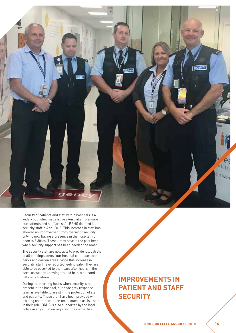

Security of patients and staff within hospitals is a widely published issue across Australia. To ensure our patients and staff are safe, BRHS doubled its security staff in April 2018. This increase in staff has allowed an improvement from overnight security only, to now having a presence in the hospital from noon to 6:30am. These times have in the past been when security support has been needed the most.

The security staff are now able to provide full patrols of all buildings across our hospital campuses, car parks and garden areas. Since this increase in security, staff have reported feeling safer. They are able to be escorted to their cars after hours in the dark, as well as knowing trained help is on hand in difficult situations.

During the morning hours when security is not present in the hospital, our code grey response team is available to assist in the protection of staff and patients. These staff have been provided with training on de-escalation techniques to assist them in their role. BRHS is also supported by the local police in any situation requiring their expertise.

## **IMPROVEMENTS IN PATIENT AND STAFF SECURITY**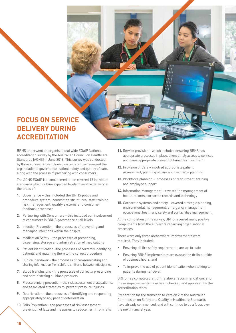## **FOCUS ON SERVICE DELIVERY DURING ACCREDITATION**

BRHS underwent an organisational wide EQuIP National accreditation survey by the Australian Council on Healthcare Standards (ACHS) in June 2018. This survey was conducted by three surveyors over three days, where they reviewed the organisational governance, patient safety and quality of care, along with the process of partnering with consumers.

The ACHS EQuIP National accreditation covered 15 individual standards which outline expected levels of service delivery in the areas of:

- **1.** Governance this included the BRHS policy and procedure system, committee structures, staff training, risk management, quality systems and consumer feedback processes
- **2.** Partnering with Consumers this included our involvement of consumers in BRHS governance at all levels
- **3.** Infection Prevention the processes of preventing and managing infections within the hospital
- **4.** Medication Safety the processes of prescribing, dispensing, storage and administration of medications
- **5.** Patient identification –the processes of correctly identifying patients and matching them to the correct procedure
- **6.** Clinical handover the processes of communicating and sharing information from shift to shift and between disciplines
- **7.** Blood transfusions the processes of correctly prescribing and administering all blood products
- **8.** Pressure injury prevention –the risk assessment of all patients, and associated strategies to prevent pressure injuries
- **9.** Deterioration the processes of identifying and responding appropriately to any patient deterioration
- **10.** Falls Prevention the processes of risk assessment, prevention of falls and measures to reduce harm from falls
- **11.** Service provision which included ensuring BRHS has appropriate processes in place, offers timely access to services and gains appropriate consent obtained for treatment
- **12.** Provision of Care involved appropriate patient assessment, planning of care and discharge planning
- **13.** Workforce planning processes of recruitment, training and employee support
- **14.** Information Management covered the management of health records, corporate records and technology
- **15.** Corporate systems and safety covered strategic planning, environmental management, emergency management, occupational health and safety and our facilities management.

At the completion of the survey, BRHS received many positive compliments from the surveyors regarding organisational processes.

There were only three areas where improvements were required. They included:

- **•** Ensuring all fire safety requirements are up-to-date
- **•** Ensuring BRHS implements more evacuation drills outside of business hours, and
- **•** To improve the use of patient identification when talking to patients during handover.

BRHS has completed all of the above recommendations and these improvements have been checked and approved by the accreditation team.

Preparation for the transition to Version 2 of the Australian Commission on Safety and Quality in Healthcare Standards have already commenced, and will continue to be a focus over the next financial year.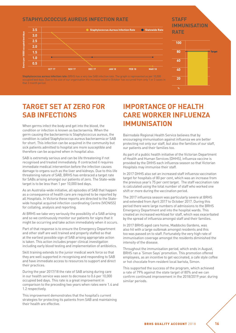#### **STAPHYLOCOCCUS AUREUS INFECTION RATE**



**Staphylococcus aureus infection rate:** BRHS has a very low SAB infection rate. The graph is represented as per 10,000 occupied bed days. Due to the size of our organisation the increase noted in October has occurred from only 1 or 2 cases in that 3 month period.

## **STAFF IMMUNISATION RATE**



## **TARGET SET AT ZERO FOR SAB INFECTIONS**

When germs infect the body and get into the blood, the condition or infection is known as bacteraemia. When the germ causing the bacteraemia is Staphylococcus aureus, the condition is called Staphylococcus aureus bacteraemia or SAB for short. This infection can be acquired in the community but sick patients admitted to hospital are more susceptible and therefore can be acquired when in hospital also.

SAB is extremely serious and can be life threatening if not recognised and treated immediately. If contracted it requires immediate medical intervention before the infection causes damage to organs such as the liver and kidneys. Due to this life threatening nature of SAB, BRHS has embraced a target rate for SABs arising amongst our patients of zero. The State-wide target is to be less than 1 per 10,000 bed days.

As an Australia-wide initiative, all episodes of SAB that happen as a consequence of health care are required to be reported by all Hospitals. In Victoria these reports are directed to the Statewide hospital acquired infection coordinating Centre (VICNISS) for collating, analysis and reporting.

At BRHS we take very seriously the possibility of a SAB arising and so we continuously monitor our patients for signs that it might be occurring and take action immediately when it occurs.

Part of that response is to ensure the Emergency Department and other staff are well trained and properly staffed so that at the earliest possible sign of SAB arising appropriate action is taken. This action includes proper clinical investigation including early blood testing and implementation of antibiotics.

Skill training extends to the junior medical work force so that they are well supported in recognising and responding to SAB and have immediate access to resources to support and direct their practices.

During the year 2017/18 the rate of SAB arising during care in our health service was seen to decrease to 0.6 per 10,000 occupied bed days. This rate is a great improvement in comparison to the preceding two years when rates were 1.4 and 1.2 respectively.

This improvement demonstrates that the hospital's current strategies for protecting its patients from SAB and maintaining their health are effective.

## **IMPORTANCE OF HEALTH CARE WORKER INFLUENZA IMMUNISATION**

Bairnsdale Regional Health Service believes that by encouraging immunisation against influenza we are better protecting not only our staff, but also the families of our staff, our patients and their families too.

As part of a public health initiative of the Victorian Department of Health and Human Services (DHHS), influenza vaccine is provided by the DHHS each influenza season so that Victorian Hospitals may immunise their staff.

In 2017 DHHS also set an increased staff influenza vaccination target for hospitals of 80 per cent, which was an increase from the previous year's 75 per cent target. The staff vaccination rate is calculated using the total number of staff who worked one shift or more during the vaccination period.

The 2017 influenza season was particularly severe at BRHS and extended from April 2017 to October 2017. During this period there were large numbers of admissions to the BRHS Emergency Department and into the hospital wards. This created an increased workload for staff, which was exacerbated by the spread of influenza amongst staff and their families.

In 2017 BRHS aged care home, Maddocks Gardens, was also hit with a large outbreak amongst residents and this too was passed on to staff. Fortunately the very high rate of immunisation coverage amongst the residents diminished the intensity of the disease.

Throughout the immunisation period, which ends in August, BRHS ran a 'Simon Says' promotion. This promotion offered employees, as an incentive to get vaccinated, a cafe style coffee or hot chocolate from resident local barista, Simon.

This supported the success of the program, which achieved a rate of 79% against the state target of 80% and we can confirm continued improvement in the 2018/2019 year. during similar periods.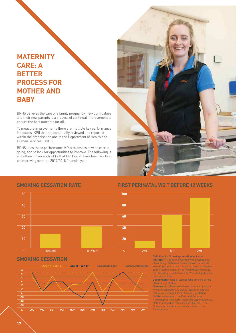## **MATERNITY CARE: A BETTER PROCESS FOR MOTHER AND BABY**

BRHS believes the care of a family pregnancy, new born babies and their new parents is a process of continual improvement to ensure the best outcome for all.

To measure improvements there are multiple key performance indicators (KPI) that are continually reviewed and reported within the organisation and to the Department of Health and Human Services (DHHS).

BRHS uses these performance KPI's to assess how its care is going, and to look for opportunities to improve. The following is an outline of two such KPI's that BRHS staff have been working on improving over the 2017/2018 financial year.



#### **SMOKING CESSATION RATE**



#### **FIRST PERINATAL VISIT BEFORE 12 WEEKS**



#### **SMOKING CESSATION**



**Definition for Smoking cessation Indicator Indicator 7:** The rate of women who smoked after

20 weeks' gestation as compared with before 20 weeks' gestation at each hospital. Data is presented as the relative reduction between these two rates – the 'smoking cessation rate' for Victorian public and private hospitals.

**Denominator:** Rate of women who smoked before 20 weeks' gestation.

**Numerator:** Difference between the rate of women who smoked before 20 weeks' gestation and the rate of who smoked after 20 weeks' gestation. **Limits** are based on the Perinatal Services Performance Indicators' lower and upper quartiles. Note that negative rates are possible, since the Numerator is not necessarily a subset of the Denominator.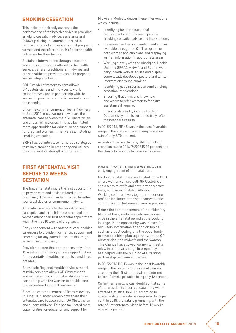#### **SMOKING CESSATION**

This indicator indirectly assesses the performance of the health service in providing smoking cessation advice, assistance and follow up during the antenatal period to reduce the rate of smoking amongst pregnant women and therefore the risk of poorer health outcomes for their babies.

Sustained interventions through education and support programs offered by the health service, general practitioners, midwives and other healthcare providers can help pregnant women stop smoking.

BRHS model of maternity care allows GP obstetricians and midwives to work collaboratively and in partnership with the women to provide care that is centred around their needs.

Since the commencement of Team Midwifery in June 2015, most women now share their antenatal care between their GP Obstetrician and a team of midwives. This has facilitated more opportunities for education and support for pregnant women in many areas, including smoking cessation.

BRHS has put into place numerous strategies to reduce smoking in pregnancy and utilizes the collaborative strengths of the Team

## **FIRST ANTENATAL VISIT BEFORE 12 WEEKS GESTATION**

The first antenatal visit is the first opportunity to provide care and advice related to the pregnancy. This visit can be provided by either your local doctor or community midwife.

Antenatal care refers to the period between conception and birth. It is recommended that women attend their first antenatal appointment within the first 10 weeks of pregnancy.

Early engagement with antenatal care enables caregivers to provide information, support and screening for any potential issues that might arise during pregnancy.

Provision of care that commences only after 12 weeks of pregnancy misses opportunities for preventative healthcare and is considered not ideal.

Bairnsdale Regional Health service's model of midwifery care allows GP Obstetricians and midwives to work collaboratively and in partnership with the women to provide care that is centered around their needs.

Since the commencement of Team Midwifery in June 2015, most women now share their antenatal care between their GP Obstetrician and a team midwife. This has facilitated more opportunities for education and support for

Midwifery Model to deliver these interventions which include:

- **•** Identifying further educational requirements of midwives to provide smoking cessation advice and interventions
- **•** Reviewing written information and support available through the QUIT program for both women and clinicians and displaying written information in appropriate areas
- **•** Working closely with the Aboriginal Health Unit and GEGAC Midwife and Boorai (wellbaby) health worker, to use and display some locally developed posters and written information around smoking
- **•** Identifying gaps in service around smoking cessation interventions
- **•** Ensuring that clinicians know how and whom to refer women to for extra assistance if required
- **•** Ensuring data entry into the Birthing Outcomes system is correct to truly reflect the hospital's results

In 2015/2016, BRHS was in the least favorable range in the state with a smoking cessation rate of only 3.70 per cent.

According to available data, BRHS Smoking cessation rate in 2016-7/2018 IS 19 per cent and the plan is to continue to focus on this area.

pregnant women in many areas, including early engagement of antenatal care.

BRHS antenatal clinics are located in the CBD, where women can see both GP Obstetrician and a team midwife and have any necessary tests, such as an obstetric ultrasound. Working collaboratively together under one roof has facilitated improved teamwork and communication between all service providers.

Before the commencement of the Midwifery Model of Care, midwives only saw women once in the antenatal period at the booking in stage. Much opportunity was missed for midwifery information sharing on topics such as breastfeeding and the opportunity to develop a birth plan together with the GP Obstetrician, the midwife and the woman. This change has allowed women to meet a midwife at an early stage in pregnancy and has helped with the building of a trusting partnership between all parties

In 2015/2016 BRHS was in the least favorable range in the State, with the rate of women attending their first antenatal appointment before 12 weeks gestation being only 12 per cent.

On further review, it was identified that some of this was due to incorrect data entry which affected statistics. In 2017, according to available data, the rate has improved to 59 per cent. In 2018, the data is promising, with the rate of first antenatal visits before 12 weeks now at 89 per cent.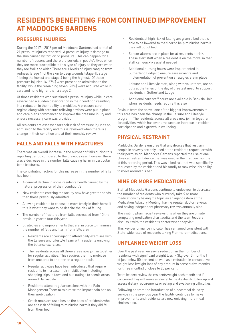## **RESIDENTS BENEFITING FROM CONTINUED IMPROVEMENT AT MADDOCKS GARDENS**

#### **PRESSURE INJURIES**

During the 2017 – 2018 period Maddocks Gardens had a total of 21 pressure injuries reported. A pressure injury is damage to the skin caused by friction or pressure. This can happen for a number of reasons and there are periods in people's lives when they are more susceptible to this type of injury as they are when they are frail and older. There are 4 levels of injury ranging from redness (stage 1) of the skin to deep wounds (stage 4), stage 1 being the lowest and stage 4 being the highest. Of these pressure injuries 14 (67%) were present on admission to the facility, while the remaining seven (23%) were acquired while in care and none higher than a stage 2.

Of those residents who sustained a pressure injury while in care several had a sudden deterioration in their condition resulting in a reduction in their ability to mobilise. A pressure care regime along with pressure relieving devices were put in place and care plans commenced to improve the pressure injury and ensure necessary care was provided.

All residents are assessed for their risk of pressure injuries on admission to the facility and this is reviewed when there is a change in their condition and at their monthly review.

## **FALLS AND FALLS WITH FRACTURES**

There was an overall increase in the number of falls during this reporting period compared to the previous year, however there was a decrease in the number falls causing harm in particular bone fractures.

The contributing factors for this increase in the number of falls has been:

- **•** A general decline in some residents health caused by the natural progression of their condition/s
- **•** New residents entering the facility now have greater needs than those previously admitted
- **•** Allowing residents to choose to move freely in their home if this is what they want to do despite the risk of falling
- **•** The number of fractures from falls decreased from 10 the previous year to four this year.
- **•** Strategies and improvements that are in place to minimise the number of falls and harm from falls are:
	- **-** Residents are encouraged to attend daily exercises with the Leisure and Lifestyle Team with residents enjoying the balance exercises
	- **-** The residents across all three areas now join in together for regular activities. This requires them to mobilise from one area to another on a regular basis
	- **-** Regular activities have been introduced that require residents to increase their mobilisation including shopping trips to town and bus outings to scenic areas around Bairnsdale
	- **-** Residents attend regular sessions with the Pain Management Team to minimise the impact pain has on their mobilisation
	- **-** Crash mats are used beside the beds of residents who are at a risk of falling to minimise harm if they did fall from their bed
- **-** Residents at high risk of falling are given a bed that is able to be lowered to the floor to help minimise harm if they roll out of bed
- **-** Sensor alarms are in place for at residents at risk. These alert staff when a resident is on the move so that staff can quickly assist if needed
- **-** Additional nursing hours were implemented in Sutherland Lodge to ensure assessments and implementation of prevention strategies are in place
- **-** Leisure and Lifestyle staff, along with volunteers, are on duty at the times of the day of greatest need to support residents in Sutherland Lodge
- **-** Additional care staff hours are available in Banksia Unit when residents needs require this also

Obvious from the above, one of the biggest improvements to this area has been the change in the Leisure and Lifestyle program. The residents across all areas now join in together for activities, which has over time seen an increase in resident participation and a growth in wellbeing.

## **PHYSICAL RESTRAINT**

Maddocks Gardens ensures that any devices that restrain people in anyway are only used at the residents request or with their permission. Maddocks Gardens reported the use of one physical restraint device that was used in the first two months of this reporting period. This was a bed rail that was specifically requested by the resident and his family to maximise his ability to move around his bed.

## **NINE OR MORE MEDICATIONS**

Staff at Maddocks Gardens continue to endeavour to decrease the number of residents who currently take 9 or more medications by having the topic as an agenda item at the Medication Advisory Meeting, having regular doctor reivews and having independent pharmacy reviews annually also.

The visiting pharmacisit reviews this when they are on site completing medication chart audits and the team leaders discuss it with the resident's doctor when they visit.

This key performance indicator has remained consistent with State-wide rates of residents taking 9 or more medications.

#### **UNPLANNED WEIGHT LOSS**

Over the past year we saw a reduction in the number of residents with significant weight loss (> 3kg over 3 months ) of just below 50 per cent as well as a reduction in consecutive weight loss (weight loss of any amount in consecutive months for three months) of close to 25 per cent.

Team leaders review the residents weight each month and if concerned they will make a referral to the dietitian to follow up and assess dietary requirements or eating and swallowing difficulties.

Following on from the introduction of a new meal delivery service in the previous year the facility continues to make improvements and residents are now enjoying more meal choices also.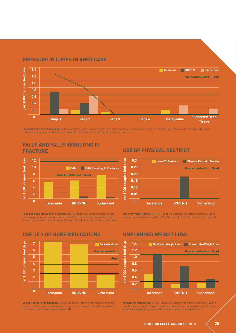

#### **PRESSURE INJURIES IN AGED CARE**

**Pressure injuries in Aged Care:** BRHS Maddocks Gardens reported last financial year only a small number of pressure injuries that were mostly under the upper acceptable limit, many of these were present on the resident when they arrived in our service.

#### **FALLS AND FALLS RESULTING IN FRACTURE**



**Falls and Falls resulting in Fractures:** BRHS Maddocks Gardens reported last financial year only a very small number of falls that were well below the upper acceptable limit for these services. Falls resulting in fracture were also very low.

## **USE OF 9 OF MORE MEDICATIONS**



**Use of 9 of more medications:** BRHS Maddocks Gardens reported last financial year a small number of patients on 9 or more medications, all of these patients have their medications review by their GP.

## **USE OF PHYSICAL RESTRICT**



**Use of Physical Restrict:** BRHS Maddocks Gardens reported last financial year only a very small number of time that the use of physical restraint was required.

#### **UNPLANNED WEIGHT LOSS**



**Unplanned weight loss:** BRHS Maddocks Gardens reported last financial year a small number of patients with unplanned weight loss, though the patients with significant weight loss were well below the upper acceptable limit.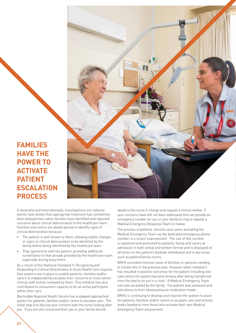

**ESCALATION PROCESS** In Australia and internationally, investigations into adverse events have shown that appropriate treatment has sometimes been delayed even when families have identified and reported concerns about clinical deterioration to the healthcare team.

**FAMILIES** 

**HAVE THE** 

**POWER TO** 

**ACTIVATE** 

**PATIENT** 

Families and carers are ideally placed to identify signs of clinical deterioration because:

- **•** The patient is well known to them, allowing subtle changes or signs of clinical deterioration to be identified by the family before being identified by the healthcare team
- **•** They spend time with the patient, providing additional surveillance to that already provided by the healthcare team especially during busy times.

As a result of this National Standard 9: *Recognising and Responding to Clinical Deterioration in Acute Health Care* requires that systems are in place to enable patients, families and/or carers to independently escalate their concerns to more senior clinical staff and be reviewed by them. This initiative has also contributed to consumers capacity to be an active participant within their care.

Bairnsdale Regional Health Service has a stepped approached system for patients, families and/or carers to escalate care. The initial step is to discuss your concern with the nurse looking after you. If you are still concerned then you or your family should

speak to the nurse in charge and request a clinical review. If your concerns have still not been addressed then we provide an emergency number for you or your family to ring to request a Medical Emergency Response Team to review.

The process of patients, families and carers activating the Medical Emergency Team via the dedicated emergency phone number is a recent improvement. The use of this number is explained and promoted to patients, family and carers at admission in both verbal and written format and is displayed at all times on the patient's bedside whiteboard and in key areas such as patient/family rooms.

BRHS recorded minimal cases of families or patients needing to initiate this in the previous year. However when initiated it has resulted in positive outcomes for the patient including one case where the patient became drowsy after being transferred from the bed to sit out in a chair. A Medical Emergency Team call was escalated by the family. The patient was assessed and alterations to their blood pressure medication made.

BRHS is continuing to develop and improve the system in place for patients, families and/or carers to escalate care and actively seeks feedback from those who activate their own Medical Emergency Team assessment.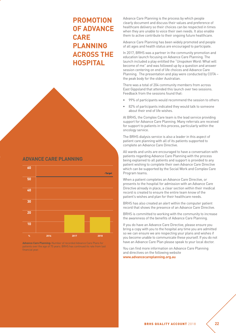## **PROMOTION OF ADVANCE CARE PLANNING ACROSS THE HOSPITAL**





**Advance Care Planning:** Number of recorded Advance Care Plans for patients over the age of 75 years. BRHS has continued its rate from last Advance Care Planning is the process by which people clearly document and discuss their values and preference of healthcare delivery so their choices can be respected in times when they are unable to voice their own needs. It also enable them to active contribute to their ongoing future healthcare.

Advance Care Planning has been widely promoted and people of all ages and health status are encouraged to participate.

In 2017, BRHS was a partner in the community promotion and education launch focusing on Advance Care Planning. The launch included a play entitled the "Unspoken Word: What will become of me" and was followed up by a question and answer session centering on end of life choices and Advance Care Planning. The presentation and play were conducted by COTA – the peak body for the older Australian.

There was a total of 204 community members from across East Gippsland that attended this launch over two sessions. Feedback from the sessions found that:

- **•** 99% of participants would recommend the session to others
- **•** 82% of participants indicated they would talk to someone about their end of life wishes.

At BRHS, the Complex Care team is the lead service providing support for Advance Care Planning. Many referrals are received for support to patients in this process, particularly within the oncology service.

The BRHS dialysis service is also a leader in this aspect of patient care planning with all of its patients supported to complete an Advance Care Directive.

All wards and units are encouraged to have a conversation with patients regarding Advance Care Planning with the process being explained to all patients and support is provided to any patient wishing to complete their own Advance Care Directive which can be supported by the Social Work and Complex Care Program teams.

When a patient completes an Advance Care Directive, or presents to the hospital for admission with an Advance Care Directive already in place, a clear section within their medical record is created to ensure the entire team know of the patient's wishes and plan for their healthcare needs.

BRHS has also created an alert within the computer patient record that shows the presence of an Advance Care Directive.

BRHS is committed to working with the community to increase the awareness of the benefits of Advance Care Planning.

If you do have an Advance Care Directive, please ensure you bring a copy with you to the hospital any time you are admitted so we can ensure we are respecting your plans and wishes if you become unable to communicate these yourself. If you do not have an Advance Care Plan please speak to your local doctor.

You can find more information on Advance Care Planning and directives on the following website **www.advancecareplanning.org.au**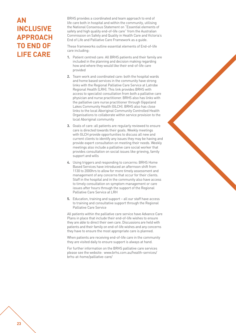## **AN INCLUSIVE APPROACH TO END OF LIFE CARE**

BRHS provides a coordinated and team approach to end of life care both in hospital and within the community, utilising the National Consensus Statement on "Essential elements of safety and high quality end-of-life care" from the Australian Commission on Safety and Quality in Health Care and Victoria's End of Life and Palliative Care Framework as a guide.

These frameworks outline essential elements of End-of-life care including:

- **1.** Patient centred care: All BRHS patients and their family are included in the planning and decision making regarding how and where they would like their end-of-life care provided
- **2.** Team work and coordinated care: both the hospital wards and home based services in the community have strong links with the Regional Palliative Care Service at Latrobe Regional Health (LRH). This link provides BRHS with access to specialist consultation from both a palliative care physician and nurse practitioner. BRHS also has links with the palliative care nurse practitioner through Gippsland Lakes Community Health (GLCH). BRHS also has close links to the local Aboriginal Community Controlled Health Organisations to collaborate within service provision to the local Aboriginal community
- **3.** Goals of care: all patients are regularly reviewed to ensure care is directed towards their goals. Weekly meetings with GLCH provide opportunities to discuss all new and current clients to identify any issues they may be having and provide expert consultation on meeting their needs. Weekly meetings also include a palliative care social worker that provides consultation on social issues like grieving, family support and wills
- **4.** Using triggers and responding to concerns: BRHS Home Based Services have introduced an afternoon shift from 1130 to 2000hrs to allow for more timely assessment and management of any concerns that occur for their clients. Staff in the hospital and in the community also have access to timely consultation on symptom management or care issues after hours through the support of the Regional Palliative Care Service at LRH
- **5.** Education, training and support all our staff have access to training and consultative support through the Regional Palliative Care Service

All patients within the palliative care service have Advance Care Plans in place that include their end-of-life wishes to ensure they are able to direct their own care. Discussions are held with patients and their family on end-of-life wishes and any concerns they have to ensure the most appropriate care is planned.

When patients are receiving end-of-life care in the community they are visited daily to ensure support is always at hand.

For further information on the BRHS palliative care services please see the website: www.brhs.com.au/health-services/ brhs-at-home/palliative-care/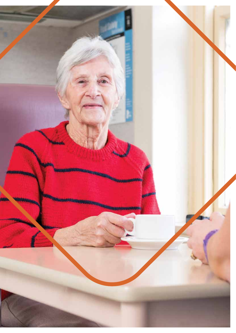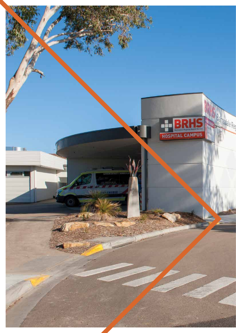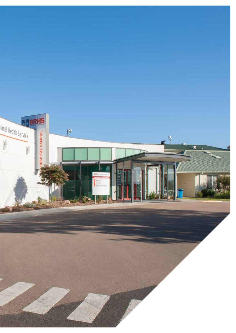